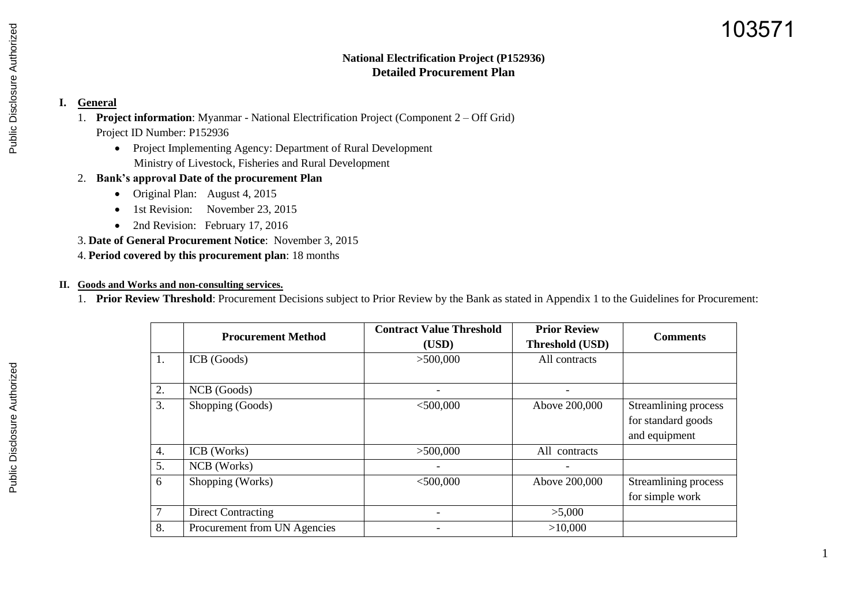# 103571

1

### **National Electrification Project (P152936) Detailed Procurement Plan**

### **I. General**

- 1. **Project information**: Myanmar National Electrification Project (Component 2 Off Grid) Project ID Number: P152936
	- Project Implementing Agency: Department of Rural Development Ministry of Livestock, Fisheries and Rural Development
- 2. **Bank's approval Date of the procurement Plan**
	- Original Plan: August 4, 2015
	- 1st Revision: November 23, 2015
	- 2nd Revision: February 17, 2016
- 3. **Date of General Procurement Notice**: November 3, 2015
- 4. **Period covered by this procurement plan**: 18 months

#### **II. Goods and Works and non-consulting services.**

1. **Prior Review Threshold**: Procurement Decisions subject to Prior Review by the Bank as stated in Appendix 1 to the Guidelines for Procurement:

|                  | <b>Procurement Method</b>    | <b>Contract Value Threshold</b><br>(USD) | <b>Prior Review</b><br>Threshold (USD) | <b>Comments</b>                                             |
|------------------|------------------------------|------------------------------------------|----------------------------------------|-------------------------------------------------------------|
| 1.               | ICB (Goods)                  | >500,000                                 | All contracts                          |                                                             |
| 2.               | NCB (Goods)                  | Ξ.                                       | $\overline{\phantom{0}}$               |                                                             |
| 3.               | Shopping (Goods)             | $<$ 500,000                              | Above 200,000                          | Streamlining process<br>for standard goods<br>and equipment |
| $\overline{4}$ . | ICB (Works)                  | >500,000                                 | All contracts                          |                                                             |
| 5.               | NCB (Works)                  | $\overline{\phantom{0}}$                 |                                        |                                                             |
| 6                | Shopping (Works)             | $<$ 500,000                              | Above 200,000                          | Streamlining process<br>for simple work                     |
| $\overline{7}$   | <b>Direct Contracting</b>    |                                          | >5,000                                 |                                                             |
| 8.               | Procurement from UN Agencies |                                          | >10,000                                |                                                             |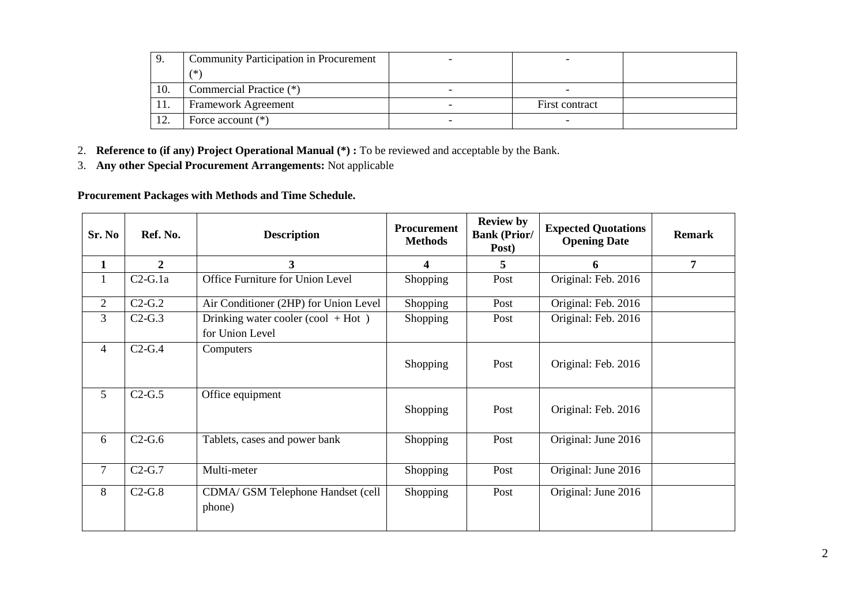|     | <b>Community Participation in Procurement</b> |                |  |
|-----|-----------------------------------------------|----------------|--|
|     | $(*)$                                         |                |  |
| 10. | Commercial Practice (*)                       |                |  |
| 11. | Framework Agreement                           | First contract |  |
| 12. | Force account $(*)$                           |                |  |

2. **Reference to (if any) Project Operational Manual (\*) :** To be reviewed and acceptable by the Bank.

3. **Any other Special Procurement Arrangements:** Not applicable

**Procurement Packages with Methods and Time Schedule.**

| Sr. No         | Ref. No.       | <b>Description</b>                                      | <b>Procurement</b><br><b>Methods</b> | <b>Review by</b><br><b>Bank (Prior/</b><br>Post) | <b>Expected Quotations</b><br><b>Opening Date</b> | <b>Remark</b>  |
|----------------|----------------|---------------------------------------------------------|--------------------------------------|--------------------------------------------------|---------------------------------------------------|----------------|
| $\mathbf{1}$   | $\overline{2}$ | 3 <sup>1</sup>                                          | 4                                    | 5                                                | 6                                                 | $\overline{7}$ |
| $\mathbf{1}$   | $C2-G.1a$      | Office Furniture for Union Level                        | Shopping                             | Post                                             | Original: Feb. 2016                               |                |
| 2              | $C2-G.2$       | Air Conditioner (2HP) for Union Level                   | Shopping                             | Post                                             | Original: Feb. 2016                               |                |
| 3              | $C2-G.3$       | Drinking water cooler (cool $+$ Hot)<br>for Union Level | Shopping                             | Post                                             | Original: Feb. 2016                               |                |
| $\overline{4}$ | $C2-G.4$       | Computers                                               | Shopping                             | Post                                             | Original: Feb. 2016                               |                |
| 5              | $C2-G.5$       | Office equipment                                        | Shopping                             | Post                                             | Original: Feb. 2016                               |                |
| 6              | $C2-G.6$       | Tablets, cases and power bank                           | Shopping                             | Post                                             | Original: June 2016                               |                |
| $\overline{7}$ | $C2-G.7$       | Multi-meter                                             | Shopping                             | Post                                             | Original: June 2016                               |                |
| 8              | $C2-G.8$       | CDMA/ GSM Telephone Handset (cell<br>phone)             | Shopping                             | Post                                             | Original: June 2016                               |                |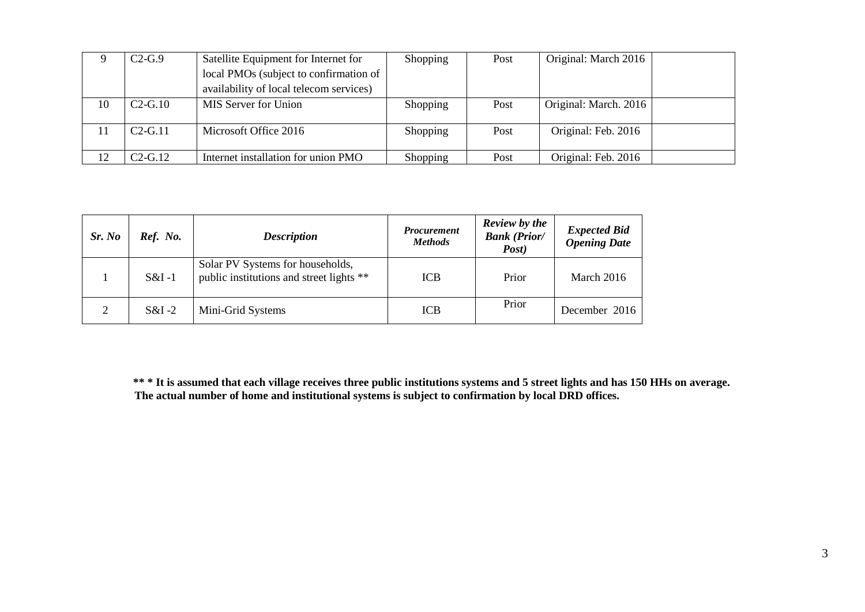|    | $C2-G.9$  | Satellite Equipment for Internet for    | Shopping        | Post | Original: March 2016  |  |
|----|-----------|-----------------------------------------|-----------------|------|-----------------------|--|
|    |           | local PMOs (subject to confirmation of  |                 |      |                       |  |
|    |           | availability of local telecom services) |                 |      |                       |  |
| 10 | $C2-G.10$ | <b>MIS Server for Union</b>             | <b>Shopping</b> | Post | Original: March. 2016 |  |
|    | $C2-G.11$ | Microsoft Office 2016                   | Shopping        | Post | Original: Feb. 2016   |  |
|    | $C2-G.12$ | Internet installation for union PMO     | Shopping        | Post | Original: Feb. 2016   |  |

| Sr. No   | Ref. No. | <b>Description</b>                                                           | <b>Procurement</b><br><b>Methods</b> | <b>Review</b> by the<br><b>Bank (Prior/</b><br>Post) | <b>Expected Bid</b><br><b>Opening Date</b> |
|----------|----------|------------------------------------------------------------------------------|--------------------------------------|------------------------------------------------------|--------------------------------------------|
|          | $S&I-1$  | Solar PV Systems for households,<br>public institutions and street lights ** | <b>ICB</b>                           | Prior                                                | March 2016                                 |
| $\gamma$ | $S&I-2$  | Mini-Grid Systems                                                            | <b>ICB</b>                           | Prior                                                | December 2016                              |

**\*\* \* It is assumed that each village receives three public institutions systems and 5 street lights and has 150 HHs on average. The actual number of home and institutional systems is subject to confirmation by local DRD offices.**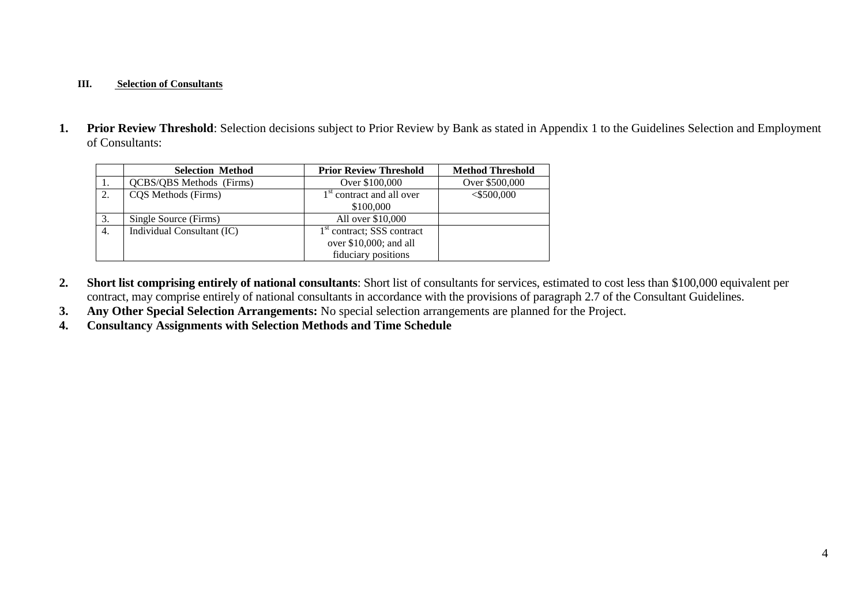#### **III. Selection of Consultants**

**1. Prior Review Threshold**: Selection decisions subject to Prior Review by Bank as stated in Appendix 1 to the Guidelines Selection and Employment of Consultants:

|    | <b>Selection Method</b>         | <b>Prior Review Threshold</b>                                                             | <b>Method Threshold</b> |
|----|---------------------------------|-------------------------------------------------------------------------------------------|-------------------------|
| 1. | <b>QCBS/QBS</b> Methods (Firms) | Over \$100,000                                                                            | Over \$500,000          |
| 2. | CQS Methods (Firms)             | 1 <sup>st</sup> contract and all over<br>\$100,000                                        | $<$ \$500,000           |
| 3. | Single Source (Firms)           | All over \$10,000                                                                         |                         |
| 4. | Individual Consultant (IC)      | 1 <sup>st</sup> contract; SSS contract<br>over $$10,000$ ; and all<br>fiduciary positions |                         |

- **2. Short list comprising entirely of national consultants**: Short list of consultants for services, estimated to cost less than \$100,000 equivalent per contract, may comprise entirely of national consultants in accordance with the provisions of paragraph 2.7 of the Consultant Guidelines.
- **3. Any Other Special Selection Arrangements:** No special selection arrangements are planned for the Project.
- **4. Consultancy Assignments with Selection Methods and Time Schedule**